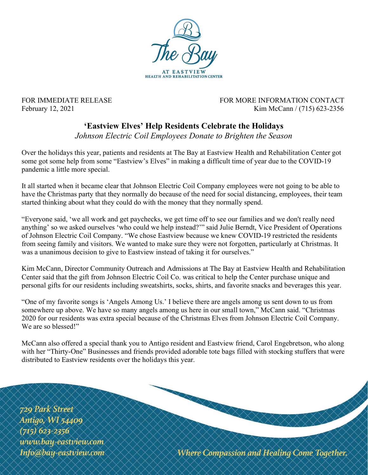

FOR IMMEDIATE RELEASE FOR MORE INFORMATION CONTACT February 12, 2021 Kim McCann / (715) 623-2356

## 'Eastview Elves' Help Residents Celebrate the Holidays

Johnson Electric Coil Employees Donate to Brighten the Season

Over the holidays this year, patients and residents at The Bay at Eastview Health and Rehabilitation Center got some got some help from some "Eastview's Elves" in making a difficult time of year due to the COVID-19 pandemic a little more special.

It all started when it became clear that Johnson Electric Coil Company employees were not going to be able to have the Christmas party that they normally do because of the need for social distancing, employees, their team started thinking about what they could do with the money that they normally spend.

"Everyone said, 'we all work and get paychecks, we get time off to see our families and we don't really need anything' so we asked ourselves 'who could we help instead?'" said Julie Berndt, Vice President of Operations of Johnson Electric Coil Company. "We chose Eastview because we knew COVID-19 restricted the residents from seeing family and visitors. We wanted to make sure they were not forgotten, particularly at Christmas. It was a unanimous decision to give to Eastview instead of taking it for ourselves."

Kim McCann, Director Community Outreach and Admissions at The Bay at Eastview Health and Rehabilitation Center said that the gift from Johnson Electric Coil Co. was critical to help the Center purchase unique and personal gifts for our residents including sweatshirts, socks, shirts, and favorite snacks and beverages this year.

"One of my favorite songs is 'Angels Among Us.' I believe there are angels among us sent down to us from somewhere up above. We have so many angels among us here in our small town," McCann said. "Christmas 2020 for our residents was extra special because of the Christmas Elves from Johnson Electric Coil Company. We are so blessed!"

McCann also offered a special thank you to Antigo resident and Eastview friend, Carol Engebretson, who along with her "Thirty-One" Businesses and friends provided adorable tote bags filled with stocking stuffers that were distributed to Eastview residents over the holidays this year.

**729 Park Street Antigo, WI 54409**  $(715)$  623-2356 www.bay-eastview.com Info@bay-eastview.com

Where Compassion and Healing Come Together.

RAKA KA